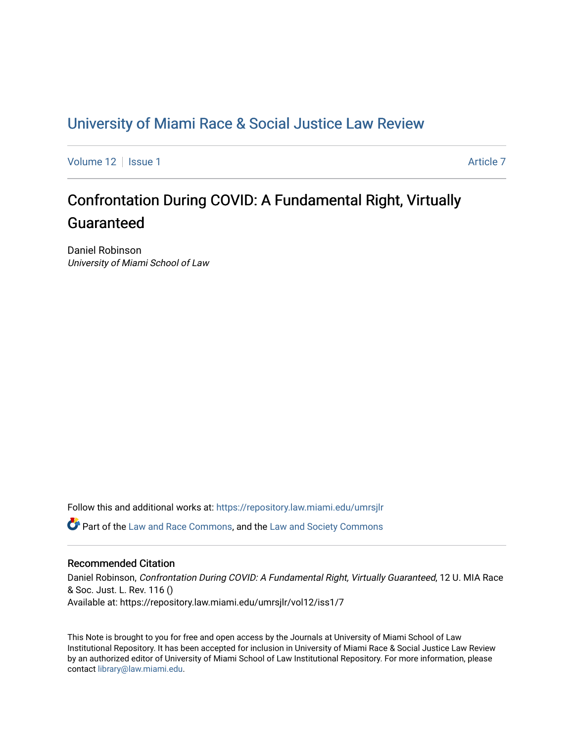# [University of Miami Race & Social Justice Law Review](https://repository.law.miami.edu/umrsjlr)

[Volume 12](https://repository.law.miami.edu/umrsjlr/vol12) Setup 1 [Article 7](https://repository.law.miami.edu/umrsjlr/vol12/iss1/7) Article 7 Article 7

# Confrontation During COVID: A Fundamental Right, Virtually Guaranteed

Daniel Robinson University of Miami School of Law

Follow this and additional works at: [https://repository.law.miami.edu/umrsjlr](https://repository.law.miami.edu/umrsjlr?utm_source=repository.law.miami.edu%2Fumrsjlr%2Fvol12%2Fiss1%2F7&utm_medium=PDF&utm_campaign=PDFCoverPages)

Part of the [Law and Race Commons,](http://network.bepress.com/hgg/discipline/1300?utm_source=repository.law.miami.edu%2Fumrsjlr%2Fvol12%2Fiss1%2F7&utm_medium=PDF&utm_campaign=PDFCoverPages) and the [Law and Society Commons](http://network.bepress.com/hgg/discipline/853?utm_source=repository.law.miami.edu%2Fumrsjlr%2Fvol12%2Fiss1%2F7&utm_medium=PDF&utm_campaign=PDFCoverPages) 

#### Recommended Citation

Daniel Robinson, Confrontation During COVID: A Fundamental Right, Virtually Guaranteed, 12 U. MIA Race & Soc. Just. L. Rev. 116 () Available at: https://repository.law.miami.edu/umrsjlr/vol12/iss1/7

This Note is brought to you for free and open access by the Journals at University of Miami School of Law Institutional Repository. It has been accepted for inclusion in University of Miami Race & Social Justice Law Review by an authorized editor of University of Miami School of Law Institutional Repository. For more information, please contact [library@law.miami.edu](mailto:library@law.miami.edu).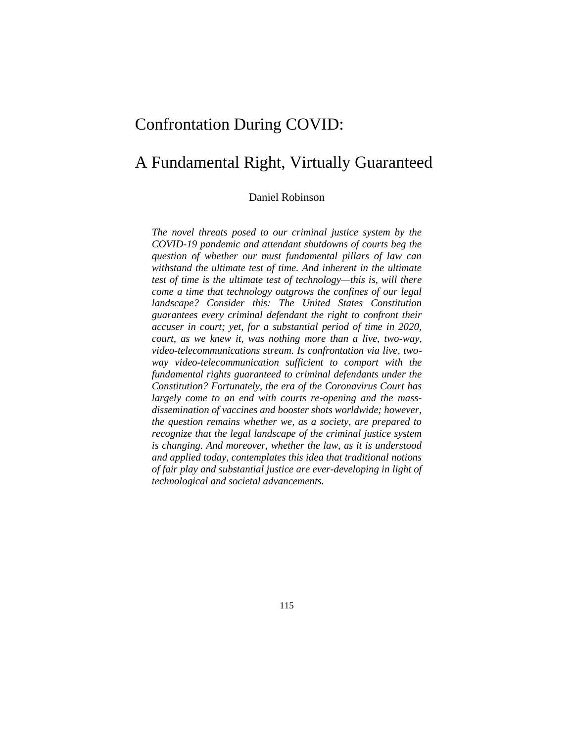# Confrontation During COVID:

# A Fundamental Right, Virtually Guaranteed

Daniel Robinson

*The novel threats posed to our criminal justice system by the COVID-19 pandemic and attendant shutdowns of courts beg the question of whether our must fundamental pillars of law can withstand the ultimate test of time. And inherent in the ultimate test of time is the ultimate test of technology—this is, will there come a time that technology outgrows the confines of our legal landscape? Consider this: The United States Constitution guarantees every criminal defendant the right to confront their accuser in court; yet, for a substantial period of time in 2020, court, as we knew it, was nothing more than a live, two-way, video-telecommunications stream. Is confrontation via live, twoway video-telecommunication sufficient to comport with the fundamental rights guaranteed to criminal defendants under the Constitution? Fortunately, the era of the Coronavirus Court has largely come to an end with courts re-opening and the massdissemination of vaccines and booster shots worldwide; however, the question remains whether we, as a society, are prepared to recognize that the legal landscape of the criminal justice system is changing. And moreover, whether the law, as it is understood and applied today, contemplates this idea that traditional notions of fair play and substantial justice are ever-developing in light of technological and societal advancements.*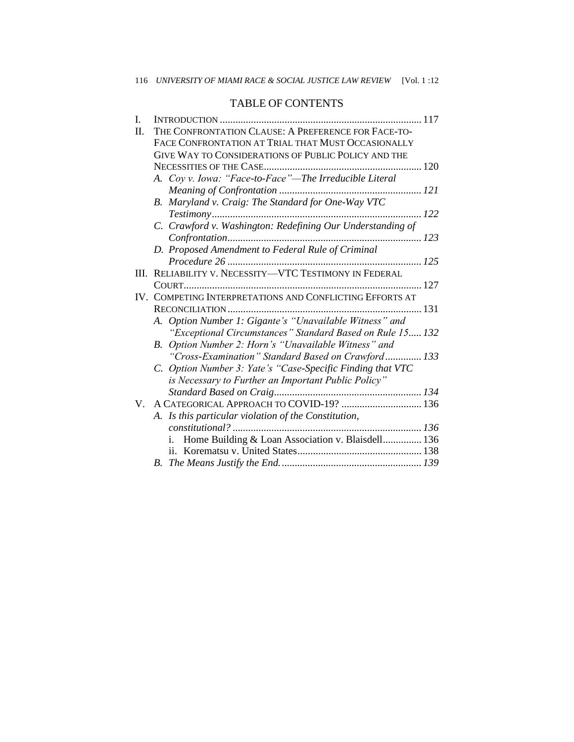# TABLE OF CONTENTS

| I.      |                                                            |  |
|---------|------------------------------------------------------------|--|
| $\Pi$ . | THE CONFRONTATION CLAUSE: A PREFERENCE FOR FACE-TO-        |  |
|         | FACE CONFRONTATION AT TRIAL THAT MUST OCCASIONALLY         |  |
|         | GIVE WAY TO CONSIDERATIONS OF PUBLIC POLICY AND THE        |  |
|         |                                                            |  |
|         | A. Coy v. Iowa: "Face-to-Face"—The Irreducible Literal     |  |
|         |                                                            |  |
|         | B. Maryland v. Craig: The Standard for One-Way VTC         |  |
|         | 122                                                        |  |
|         | C. Crawford v. Washington: Redefining Our Understanding of |  |
|         |                                                            |  |
|         | D. Proposed Amendment to Federal Rule of Criminal          |  |
|         |                                                            |  |
| III.    | RELIABILITY V. NECESSITY-VTC TESTIMONY IN FEDERAL          |  |
|         |                                                            |  |
|         | IV. COMPETING INTERPRETATIONS AND CONFLICTING EFFORTS AT   |  |
|         |                                                            |  |
|         | A. Option Number 1: Gigante's "Unavailable Witness" and    |  |
|         | "Exceptional Circumstances" Standard Based on Rule 15 132  |  |
|         | B. Option Number 2: Horn's "Unavailable Witness" and       |  |
|         | "Cross-Examination" Standard Based on Crawford 133         |  |
|         | C. Option Number 3: Yate's "Case-Specific Finding that VTC |  |
|         | is Necessary to Further an Important Public Policy"        |  |
|         |                                                            |  |
| V       |                                                            |  |
|         | A. Is this particular violation of the Constitution,       |  |
|         |                                                            |  |
|         | Home Building & Loan Association v. Blaisdell 136<br>i.    |  |
|         |                                                            |  |
|         | B.                                                         |  |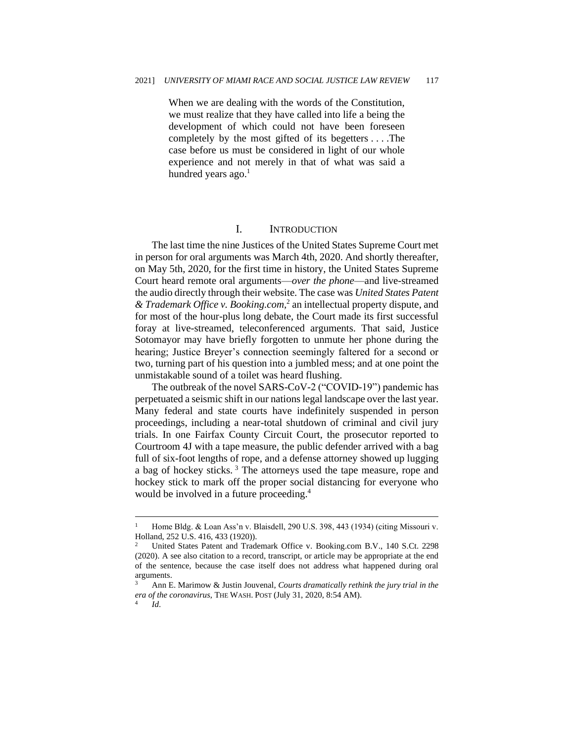When we are dealing with the words of the Constitution, we must realize that they have called into life a being the development of which could not have been foreseen completely by the most gifted of its begetters . . . .The case before us must be considered in light of our whole experience and not merely in that of what was said a hundred years ago. $<sup>1</sup>$ </sup>

#### I. INTRODUCTION

The last time the nine Justices of the United States Supreme Court met in person for oral arguments was March 4th, 2020. And shortly thereafter, on May 5th, 2020, for the first time in history, the United States Supreme Court heard remote oral arguments—*over the phone*—and live-streamed the audio directly through their website. The case was *United States Patent & Trademark Office v. Booking.com,*<sup>2</sup> an intellectual property dispute, and for most of the hour-plus long debate, the Court made its first successful foray at live-streamed, teleconferenced arguments. That said, Justice Sotomayor may have briefly forgotten to unmute her phone during the hearing; Justice Breyer's connection seemingly faltered for a second or two, turning part of his question into a jumbled mess; and at one point the unmistakable sound of a toilet was heard flushing.

The outbreak of the novel SARS-CoV-2 ("COVID-19") pandemic has perpetuated a seismic shift in our nations legal landscape over the last year. Many federal and state courts have indefinitely suspended in person proceedings, including a near-total shutdown of criminal and civil jury trials. In one Fairfax County Circuit Court, the prosecutor reported to Courtroom 4J with a tape measure, the public defender arrived with a bag full of six-foot lengths of rope, and a defense attorney showed up lugging a bag of hockey sticks.<sup>3</sup> The attorneys used the tape measure, rope and hockey stick to mark off the proper social distancing for everyone who would be involved in a future proceeding.<sup>4</sup>

<sup>&</sup>lt;sup>1</sup> Home Bldg. & Loan Ass'n v. Blaisdell, 290 U.S. 398, 443 (1934) (citing Missouri v. Holland, 252 U.S. 416, 433 (1920)).

<sup>2</sup> United States Patent and Trademark Office v. Booking.com B.V., 140 S.Ct. 2298 (2020). A see also citation to a record, transcript, or article may be appropriate at the end of the sentence, because the case itself does not address what happened during oral arguments.

<sup>3</sup> Ann E. Marimow & Justin Jouvenal, *Courts dramatically rethink the jury trial in the era of the coronavirus*, THE WASH. POST (July 31, 2020, 8:54 AM). 4 *Id*.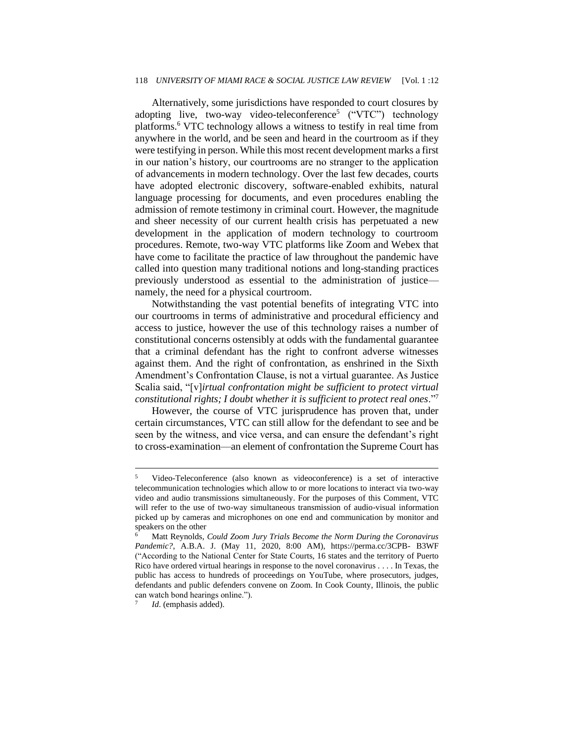#### 118 *UNIVERSITY OF MIAMI RACE & SOCIAL JUSTICE LAW REVIEW* [Vol. 1 :12

Alternatively, some jurisdictions have responded to court closures by adopting live, two-way video-teleconference<sup>5</sup> ("VTC") technology platforms.<sup>6</sup> VTC technology allows a witness to testify in real time from anywhere in the world, and be seen and heard in the courtroom as if they were testifying in person. While this most recent development marks a first in our nation's history, our courtrooms are no stranger to the application of advancements in modern technology. Over the last few decades, courts have adopted electronic discovery, software-enabled exhibits, natural language processing for documents, and even procedures enabling the admission of remote testimony in criminal court. However, the magnitude and sheer necessity of our current health crisis has perpetuated a new development in the application of modern technology to courtroom procedures. Remote, two-way VTC platforms like Zoom and Webex that have come to facilitate the practice of law throughout the pandemic have called into question many traditional notions and long-standing practices previously understood as essential to the administration of justice namely, the need for a physical courtroom.

Notwithstanding the vast potential benefits of integrating VTC into our courtrooms in terms of administrative and procedural efficiency and access to justice, however the use of this technology raises a number of constitutional concerns ostensibly at odds with the fundamental guarantee that a criminal defendant has the right to confront adverse witnesses against them. And the right of confrontation, as enshrined in the Sixth Amendment's Confrontation Clause, is not a virtual guarantee. As Justice Scalia said, "[v]*irtual confrontation might be sufficient to protect virtual constitutional rights; I doubt whether it is sufficient to protect real ones*."<sup>7</sup>

However, the course of VTC jurisprudence has proven that, under certain circumstances, VTC can still allow for the defendant to see and be seen by the witness, and vice versa, and can ensure the defendant's right to cross-examination—an element of confrontation the Supreme Court has

<sup>5</sup> Video-Teleconference (also known as videoconference) is a set of interactive telecommunication technologies which allow to or more locations to interact via two-way video and audio transmissions simultaneously. For the purposes of this Comment, VTC will refer to the use of two-way simultaneous transmission of audio-visual information picked up by cameras and microphones on one end and communication by monitor and speakers on the other

<sup>6</sup> Matt Reynolds, *Could Zoom Jury Trials Become the Norm During the Coronavirus Pandemic?*, A.B.A. J. (May 11, 2020, 8:00 AM), https://perma.cc/3CPB- B3WF ("According to the National Center for State Courts, 16 states and the territory of Puerto Rico have ordered virtual hearings in response to the novel coronavirus . . . . In Texas, the public has access to hundreds of proceedings on YouTube, where prosecutors, judges, defendants and public defenders convene on Zoom. In Cook County, Illinois, the public can watch bond hearings online."). 7

*Id*. (emphasis added).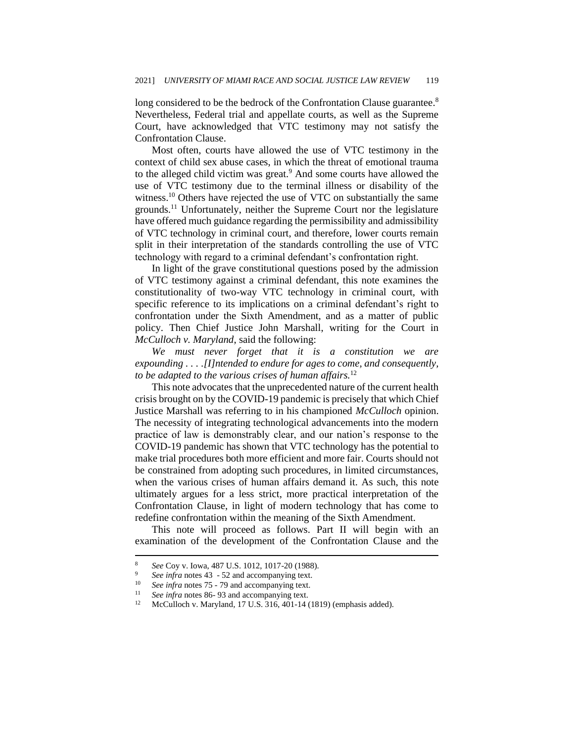long considered to be the bedrock of the Confrontation Clause guarantee.<sup>8</sup> Nevertheless, Federal trial and appellate courts, as well as the Supreme Court, have acknowledged that VTC testimony may not satisfy the Confrontation Clause.

Most often, courts have allowed the use of VTC testimony in the context of child sex abuse cases, in which the threat of emotional trauma to the alleged child victim was great.<sup>9</sup> And some courts have allowed the use of VTC testimony due to the terminal illness or disability of the witness.<sup>10</sup> Others have rejected the use of VTC on substantially the same grounds.<sup>11</sup> Unfortunately, neither the Supreme Court nor the legislature have offered much guidance regarding the permissibility and admissibility of VTC technology in criminal court, and therefore, lower courts remain split in their interpretation of the standards controlling the use of VTC technology with regard to a criminal defendant's confrontation right.

In light of the grave constitutional questions posed by the admission of VTC testimony against a criminal defendant, this note examines the constitutionality of two-way VTC technology in criminal court, with specific reference to its implications on a criminal defendant's right to confrontation under the Sixth Amendment, and as a matter of public policy. Then Chief Justice John Marshall, writing for the Court in *McCulloch v. Maryland*, said the following:

*We must never forget that it is a constitution we are expounding . . . .[I]ntended to endure for ages to come, and consequently, to be adapted to the various crises of human affairs.*<sup>12</sup>

This note advocates that the unprecedented nature of the current health crisis brought on by the COVID-19 pandemic is precisely that which Chief Justice Marshall was referring to in his championed *McCulloch* opinion. The necessity of integrating technological advancements into the modern practice of law is demonstrably clear, and our nation's response to the COVID-19 pandemic has shown that VTC technology has the potential to make trial procedures both more efficient and more fair. Courts should not be constrained from adopting such procedures, in limited circumstances, when the various crises of human affairs demand it. As such, this note ultimately argues for a less strict, more practical interpretation of the Confrontation Clause, in light of modern technology that has come to redefine confrontation within the meaning of the Sixth Amendment.

This note will proceed as follows. Part II will begin with an examination of the development of the Confrontation Clause and the

<sup>8</sup> *See* Coy v. Iowa, 487 U.S. 1012, 1017-20 (1988).

<sup>&</sup>lt;sup>9</sup> *See infra* notes  $43 - 52$  and accompanying text.<br><sup>10</sup> *See infra* notes  $75 - 79$  and accompanying text

See infra notes 75 - 79 and accompanying text.

<sup>&</sup>lt;sup>11</sup> *See infra* notes 86-93 and accompanying text.<br><sup>12</sup> McCulloch v Maryland 17 U.S. 316, 401, 14 t

<sup>12</sup> McCulloch v. Maryland*,* 17 U.S. 316, 401-14 (1819) (emphasis added).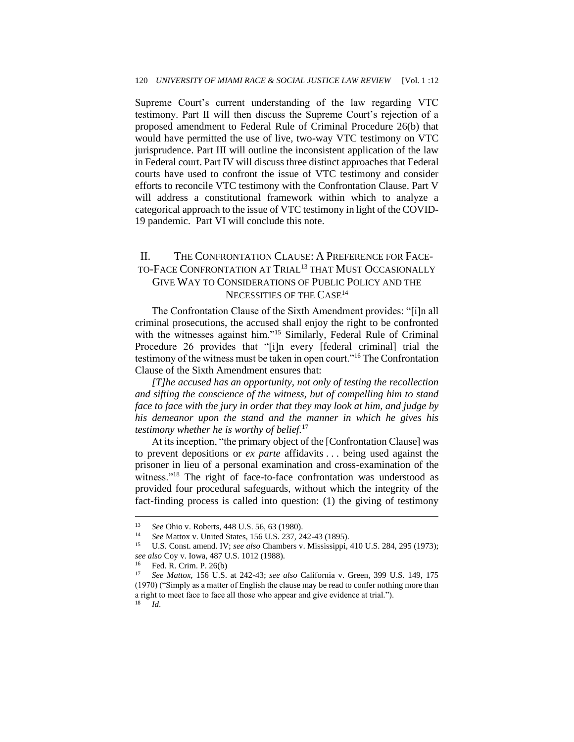Supreme Court's current understanding of the law regarding VTC testimony. Part II will then discuss the Supreme Court's rejection of a proposed amendment to Federal Rule of Criminal Procedure 26(b) that would have permitted the use of live, two-way VTC testimony on VTC jurisprudence. Part III will outline the inconsistent application of the law in Federal court. Part IV will discuss three distinct approaches that Federal courts have used to confront the issue of VTC testimony and consider efforts to reconcile VTC testimony with the Confrontation Clause. Part V will address a constitutional framework within which to analyze a categorical approach to the issue of VTC testimony in light of the COVID-19 pandemic. Part VI will conclude this note.

# II. THE CONFRONTATION CLAUSE: A PREFERENCE FOR FACE-TO-FACE CONFRONTATION AT TRIAL<sup>13</sup> THAT MUST OCCASIONALLY GIVE WAY TO CONSIDERATIONS OF PUBLIC POLICY AND THE NECESSITIES OF THE CASE<sup>14</sup>

The Confrontation Clause of the Sixth Amendment provides: "[i]n all criminal prosecutions, the accused shall enjoy the right to be confronted with the witnesses against him."<sup>15</sup> Similarly, Federal Rule of Criminal Procedure 26 provides that "[i]n every [federal criminal] trial the testimony of the witness must be taken in open court."<sup>16</sup> The Confrontation Clause of the Sixth Amendment ensures that:

*[T]he accused has an opportunity, not only of testing the recollection and sifting the conscience of the witness, but of compelling him to stand face to face with the jury in order that they may look at him, and judge by his demeanor upon the stand and the manner in which he gives his testimony whether he is worthy of belief.*<sup>17</sup>

At its inception, "the primary object of the [Confrontation Clause] was to prevent depositions or *ex parte* affidavits . . . being used against the prisoner in lieu of a personal examination and cross-examination of the witness."<sup>18</sup> The right of face-to-face confrontation was understood as provided four procedural safeguards, without which the integrity of the fact-finding process is called into question: (1) the giving of testimony

<sup>13</sup> *See* Ohio v. Roberts, 448 U.S. 56, 63 (1980).

<sup>14</sup> *See* Mattox v. United States, 156 U.S. 237, 242-43 (1895).

<sup>15</sup> U.S. Const. amend. IV; *see also* Chambers v. Mississippi*,* 410 U.S. 284, 295 (1973); *see also* Coy v. Iowa, 487 U.S. 1012 (1988).

<sup>&</sup>lt;sup>16</sup> Fed. R. Crim. P. 26(b)

<sup>17</sup> *See Mattox,* 156 U.S. at 242-43; *see also* California v. Green, 399 U.S. 149, 175 (1970) ("Simply as a matter of English the clause may be read to confer nothing more than a right to meet face to face all those who appear and give evidence at trial."). <sup>18</sup> *Id*.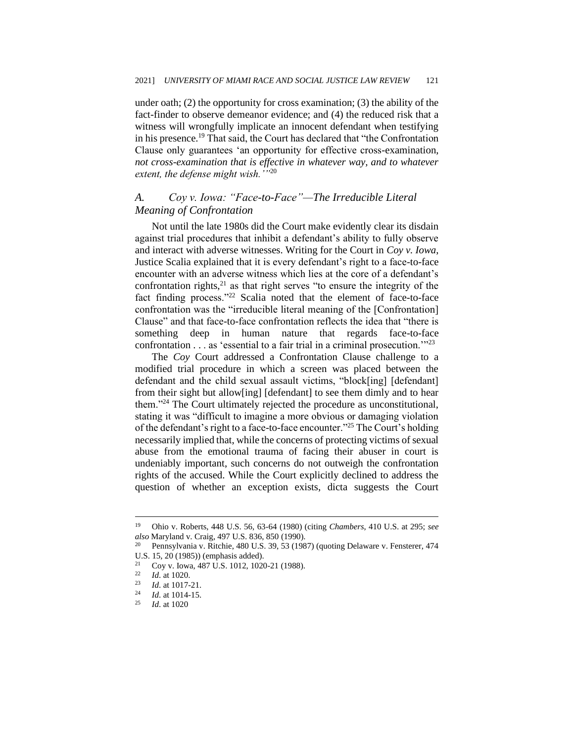under oath; (2) the opportunity for cross examination; (3) the ability of the fact-finder to observe demeanor evidence; and (4) the reduced risk that a witness will wrongfully implicate an innocent defendant when testifying in his presence.<sup>19</sup> That said, the Court has declared that "the Confrontation Clause only guarantees 'an opportunity for effective cross-examination, *not cross-examination that is effective in whatever way, and to whatever extent, the defense might wish.'"*<sup>20</sup>

# *A. Coy v. Iowa: "Face-to-Face"—The Irreducible Literal Meaning of Confrontation*

Not until the late 1980s did the Court make evidently clear its disdain against trial procedures that inhibit a defendant's ability to fully observe and interact with adverse witnesses. Writing for the Court in *Coy v. Iowa*, Justice Scalia explained that it is every defendant's right to a face-to-face encounter with an adverse witness which lies at the core of a defendant's confrontation rights, $21$  as that right serves "to ensure the integrity of the fact finding process."<sup>22</sup> Scalia noted that the element of face-to-face confrontation was the "irreducible literal meaning of the [Confrontation] Clause" and that face-to-face confrontation reflects the idea that "there is something deep in human nature that regards face-to-face confrontation . . . as 'essential to a fair trial in a criminal prosecution.'"<sup>23</sup>

The *Coy* Court addressed a Confrontation Clause challenge to a modified trial procedure in which a screen was placed between the defendant and the child sexual assault victims, "block[ing] [defendant] from their sight but allow[ing] [defendant] to see them dimly and to hear them."<sup>24</sup> The Court ultimately rejected the procedure as unconstitutional, stating it was "difficult to imagine a more obvious or damaging violation of the defendant's right to a face-to-face encounter."<sup>25</sup> The Court's holding necessarily implied that, while the concerns of protecting victims of sexual abuse from the emotional trauma of facing their abuser in court is undeniably important, such concerns do not outweigh the confrontation rights of the accused. While the Court explicitly declined to address the question of whether an exception exists, dicta suggests the Court

<sup>19</sup> Ohio v. Roberts, 448 U.S. 56, 63-64 (1980) (citing *Chambers*, 410 U.S. at 295; *see also* Maryland v. Craig, 497 U.S. 836, 850 (1990).

<sup>20</sup> Pennsylvania v. Ritchie, 480 U.S. 39, 53 (1987) (quoting Delaware v. Fensterer, 474 U.S. 15, 20 (1985)) (emphasis added).

<sup>&</sup>lt;sup>21</sup> Coy v. Iowa, 487 U.S. 1012, 1020-21 (1988).<br><sup>22</sup> *M* at 1020

 $\frac{22}{23}$  *Id.* at 1020.

*Id.* at 1017-21.

 $\frac{24}{25}$  *Id.* at 1014-15.

*Id.* at 1020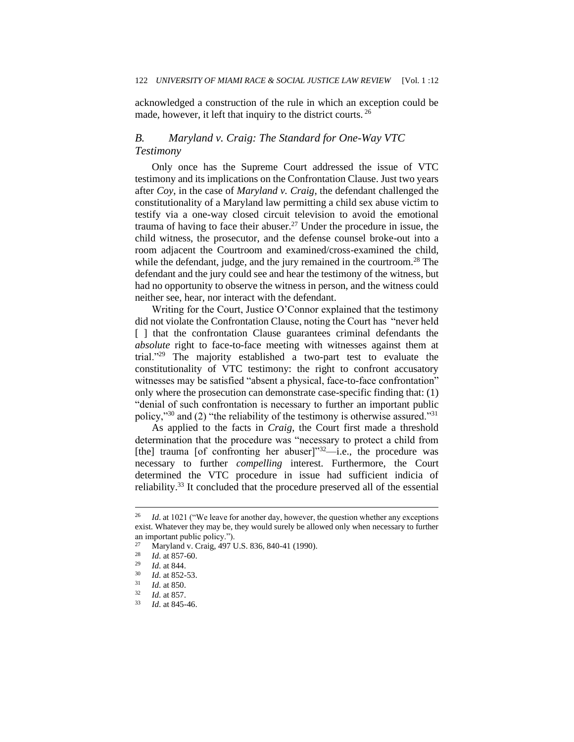acknowledged a construction of the rule in which an exception could be made, however, it left that inquiry to the district courts. <sup>26</sup>

## *B. Maryland v. Craig: The Standard for One-Way VTC Testimony*

Only once has the Supreme Court addressed the issue of VTC testimony and its implications on the Confrontation Clause. Just two years after *Coy*, in the case of *Maryland v. Craig*, the defendant challenged the constitutionality of a Maryland law permitting a child sex abuse victim to testify via a one-way closed circuit television to avoid the emotional trauma of having to face their abuser.<sup>27</sup> Under the procedure in issue, the child witness, the prosecutor, and the defense counsel broke-out into a room adjacent the Courtroom and examined/cross-examined the child, while the defendant, judge, and the jury remained in the courtroom.<sup>28</sup> The defendant and the jury could see and hear the testimony of the witness, but had no opportunity to observe the witness in person, and the witness could neither see, hear, nor interact with the defendant.

Writing for the Court, Justice O'Connor explained that the testimony did not violate the Confrontation Clause, noting the Court has "never held [ ] that the confrontation Clause guarantees criminal defendants the *absolute* right to face-to-face meeting with witnesses against them at trial."<sup>29</sup> The majority established a two-part test to evaluate the constitutionality of VTC testimony: the right to confront accusatory witnesses may be satisfied "absent a physical, face-to-face confrontation" only where the prosecution can demonstrate case-specific finding that: (1) "denial of such confrontation is necessary to further an important public policy,"<sup>30</sup> and (2) "the reliability of the testimony is otherwise assured."<sup>31</sup>

As applied to the facts in *Craig*, the Court first made a threshold determination that the procedure was "necessary to protect a child from [the] trauma [of confronting her abuser] $"32$ —i.e., the procedure was necessary to further *compelling* interest. Furthermore, the Court determined the VTC procedure in issue had sufficient indicia of reliability.<sup>33</sup> It concluded that the procedure preserved all of the essential

<sup>26</sup> *Id*. at 1021 ("We leave for another day, however, the question whether any exceptions exist. Whatever they may be, they would surely be allowed only when necessary to further an important public policy.").

<sup>&</sup>lt;sup>27</sup> Maryland v. Craig, 497 U.S. 836, 840-41 (1990).<br><sup>28</sup> *L*d at 857.60

 $\frac{28}{29}$  *Id.* at 857-60.

 $\frac{29}{30}$  *Id.* at 844.

 $\frac{30}{31}$  *Id.* at 852-53.

*Id.* at 850.

 $\frac{32}{33}$  *Id.* at 857.

<sup>33</sup> *Id*. at 845-46.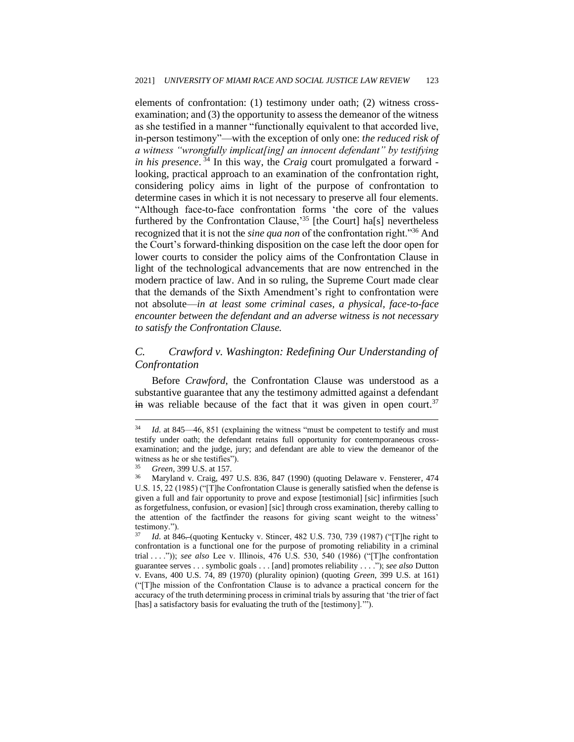elements of confrontation: (1) testimony under oath; (2) witness crossexamination; and (3) the opportunity to assess the demeanor of the witness as she testified in a manner "functionally equivalent to that accorded live, in-person testimony"—with the exception of only one: *the reduced risk of a witness "wrongfully implicat[ing] an innocent defendant" by testifying in his presence*. <sup>34</sup> In this way, the *Craig* court promulgated a forward looking, practical approach to an examination of the confrontation right, considering policy aims in light of the purpose of confrontation to determine cases in which it is not necessary to preserve all four elements. "Although face-to-face confrontation forms 'the core of the values furthered by the Confrontation Clause,<sup>35</sup> [the Court] ha[s] nevertheless recognized that it is not the *sine qua non* of the confrontation right."<sup>36</sup> And the Court's forward-thinking disposition on the case left the door open for lower courts to consider the policy aims of the Confrontation Clause in light of the technological advancements that are now entrenched in the modern practice of law. And in so ruling, the Supreme Court made clear that the demands of the Sixth Amendment's right to confrontation were not absolute—*in at least some criminal cases, a physical, face-to-face encounter between the defendant and an adverse witness is not necessary to satisfy the Confrontation Clause.*

# *C. Crawford v. Washington: Redefining Our Understanding of Confrontation*

Before *Crawford*, the Confrontation Clause was understood as a substantive guarantee that any the testimony admitted against a defendant  $\frac{1}{2}$  in was reliable because of the fact that it was given in open court.<sup>37</sup>

<sup>&</sup>lt;sup>34</sup> *Id.* at 845—46, 851 (explaining the witness "must be competent to testify and must testify under oath; the defendant retains full opportunity for contemporaneous crossexamination; and the judge, jury; and defendant are able to view the demeanor of the witness as he or she testifies").

<sup>35</sup> *Green*, 399 U.S. at 157.

<sup>36</sup> Maryland v. Craig, 497 U.S. 836, 847 (1990) (quoting Delaware v. Fensterer*,* 474 U.S. 15, 22 (1985) ("[T]he Confrontation Clause is generally satisfied when the defense is given a full and fair opportunity to prove and expose [testimonial] [sic] infirmities [such as forgetfulness, confusion, or evasion] [sic] through cross examination, thereby calling to the attention of the factfinder the reasons for giving scant weight to the witness' testimony.").

<sup>37</sup> *Id*. at 846. (quoting Kentucky v. Stincer, 482 U.S. 730, 739 (1987) ("[T]he right to confrontation is a functional one for the purpose of promoting reliability in a criminal trial . . . .")); *see also* Lee v. Illinois, 476 U.S. 530, 540 (1986) ("[T]he confrontation guarantee serves . . . symbolic goals . . . [and] promotes reliability . . . ."); *see also* Dutton v. Evans*,* 400 U.S. 74, 89 (1970) (plurality opinion) (quoting *Green*, 399 U.S. at 161) ("[T]he mission of the Confrontation Clause is to advance a practical concern for the accuracy of the truth determining process in criminal trials by assuring that 'the trier of fact [has] a satisfactory basis for evaluating the truth of the [testimony]."").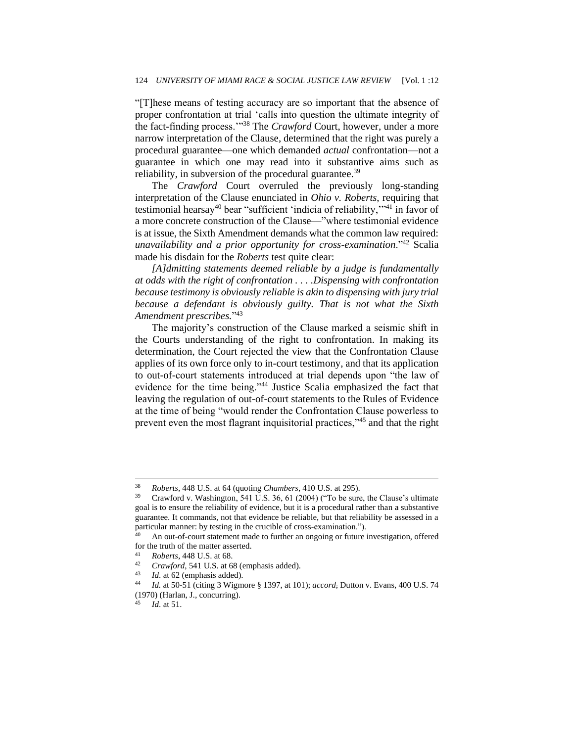"[T]hese means of testing accuracy are so important that the absence of proper confrontation at trial 'calls into question the ultimate integrity of the fact-finding process.'"<sup>38</sup> The *Crawford* Court, however, under a more narrow interpretation of the Clause, determined that the right was purely a procedural guarantee—one which demanded *actual* confrontation—not a guarantee in which one may read into it substantive aims such as reliability, in subversion of the procedural guarantee.<sup>39</sup>

The *Crawford* Court overruled the previously long-standing interpretation of the Clause enunciated in *Ohio v. Roberts*, requiring that testimonial hearsay<sup>40</sup> bear "sufficient 'indicia of reliability,"<sup>41</sup> in favor of a more concrete construction of the Clause—"where testimonial evidence is at issue, the Sixth Amendment demands what the common law required: *unavailability and a prior opportunity for cross-examination*."<sup>42</sup> Scalia made his disdain for the *Roberts* test quite clear:

*[A]dmitting statements deemed reliable by a judge is fundamentally at odds with the right of confrontation . . . .Dispensing with confrontation because testimony is obviously reliable is akin to dispensing with jury trial because a defendant is obviously guilty. That is not what the Sixth Amendment prescribes.*" 43

The majority's construction of the Clause marked a seismic shift in the Courts understanding of the right to confrontation. In making its determination, the Court rejected the view that the Confrontation Clause applies of its own force only to in-court testimony, and that its application to out-of-court statements introduced at trial depends upon "the law of evidence for the time being."<sup>44</sup> Justice Scalia emphasized the fact that leaving the regulation of out-of-court statements to the Rules of Evidence at the time of being "would render the Confrontation Clause powerless to prevent even the most flagrant inquisitorial practices,"<sup>45</sup> and that the right

<sup>38</sup> *Roberts*, 448 U.S. at 64 (quoting *Chambers*, 410 U.S. at 295).

Crawford v. Washington, 541 U.S. 36, 61 (2004) ("To be sure, the Clause's ultimate goal is to ensure the reliability of evidence, but it is a procedural rather than a substantive guarantee. It commands, not that evidence be reliable, but that reliability be assessed in a particular manner: by testing in the crucible of cross-examination.").

<sup>&</sup>lt;sup>40</sup> An out-of-court statement made to further an ongoing or future investigation, offered for the truth of the matter asserted.

<sup>41</sup> *Roberts*, 448 U.S. at 68.

<sup>&</sup>lt;sup>42</sup> *Crawford*, 541 U.S. at 68 (emphasis added).<br><sup>43</sup> *Id.* at 62 (emphasis added).

<sup>&</sup>lt;sup>43</sup> *Id.* at 62 (emphasis added).<br><sup>44</sup> *Id.* at 50-51 (citing 3 Wigm

<sup>44</sup> *Id.* at 50-51 (citing 3 Wigmore § 1397, at 101); *accord*, Dutton v. Evans, 400 U.S. 74 (1970) (Harlan, J., concurring).

*Id.* at 51.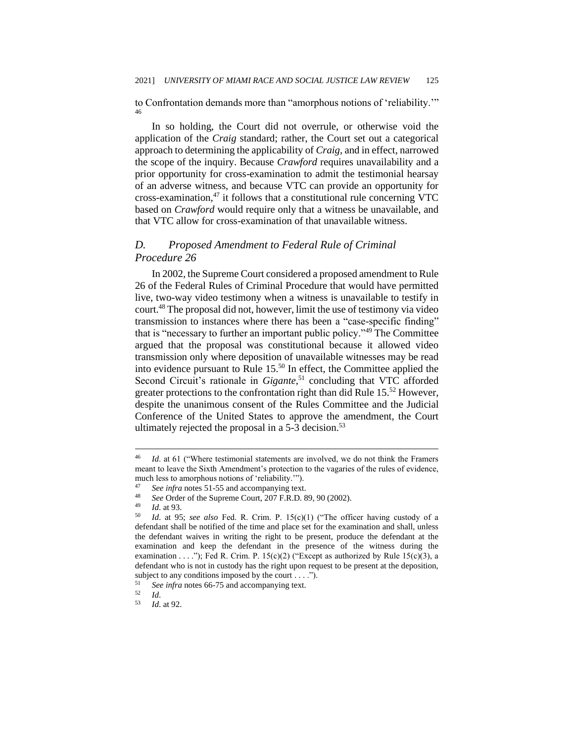to Confrontation demands more than "amorphous notions of 'reliability.'" 46

In so holding, the Court did not overrule, or otherwise void the application of the *Craig* standard; rather, the Court set out a categorical approach to determining the applicability of *Craig*, and in effect, narrowed the scope of the inquiry. Because *Crawford* requires unavailability and a prior opportunity for cross-examination to admit the testimonial hearsay of an adverse witness, and because VTC can provide an opportunity for cross-examination, $47$  it follows that a constitutional rule concerning VTC based on *Crawford* would require only that a witness be unavailable, and that VTC allow for cross-examination of that unavailable witness.

#### *D. Proposed Amendment to Federal Rule of Criminal Procedure 26*

In 2002, the Supreme Court considered a proposed amendment to Rule 26 of the Federal Rules of Criminal Procedure that would have permitted live, two-way video testimony when a witness is unavailable to testify in court.<sup>48</sup> The proposal did not, however, limit the use of testimony via video transmission to instances where there has been a "case-specific finding" that is "necessary to further an important public policy."<sup>49</sup> The Committee argued that the proposal was constitutional because it allowed video transmission only where deposition of unavailable witnesses may be read into evidence pursuant to Rule 15.<sup>50</sup> In effect, the Committee applied the Second Circuit's rationale in *Gigante*,<sup>51</sup> concluding that VTC afforded greater protections to the confrontation right than did Rule 15.<sup>52</sup> However, despite the unanimous consent of the Rules Committee and the Judicial Conference of the United States to approve the amendment, the Court ultimately rejected the proposal in a  $5-3$  decision.<sup>53</sup>

<sup>46</sup> *Id*. at 61 ("Where testimonial statements are involved, we do not think the Framers meant to leave the Sixth Amendment's protection to the vagaries of the rules of evidence, much less to amorphous notions of 'reliability.'").

<sup>&</sup>lt;sup>47</sup> *See infra* notes 51-55 and accompanying text.

<sup>48</sup> *See* Order of the Supreme Court, 207 F.R.D. 89, 90 (2002).

 $\frac{49}{50}$  *Id.* at 93.

Id. at 95; see also Fed. R. Crim. P. 15(c)(1) ("The officer having custody of a defendant shall be notified of the time and place set for the examination and shall, unless the defendant waives in writing the right to be present, produce the defendant at the examination and keep the defendant in the presence of the witness during the examination . . . ."); Fed R. Crim. P.  $15(c)(2)$  ("Except as authorized by Rule  $15(c)(3)$ , a defendant who is not in custody has the right upon request to be present at the deposition, subject to any conditions imposed by the court . . . .").

<sup>&</sup>lt;sup>51</sup> *See infra* notes 66-75 and accompanying text.<br> $\frac{52}{d}$ 

 $\frac{52}{53}$  *Id.* 

*Id.* at 92.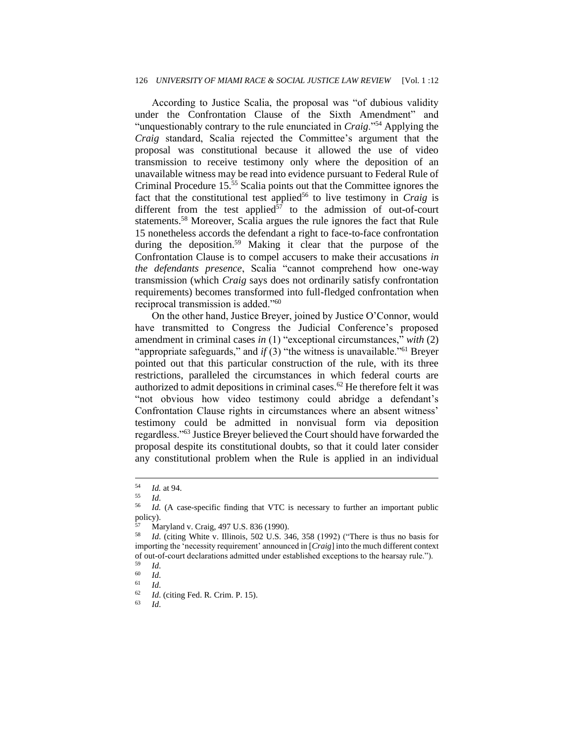According to Justice Scalia, the proposal was "of dubious validity under the Confrontation Clause of the Sixth Amendment" and "unquestionably contrary to the rule enunciated in *Craig*."<sup>54</sup> Applying the *Craig* standard, Scalia rejected the Committee's argument that the proposal was constitutional because it allowed the use of video transmission to receive testimony only where the deposition of an unavailable witness may be read into evidence pursuant to Federal Rule of Criminal Procedure 15.<sup>55</sup> Scalia points out that the Committee ignores the fact that the constitutional test applied<sup>56</sup> to live testimony in *Craig* is different from the test applied $57$  to the admission of out-of-court statements.<sup>58</sup> Moreover, Scalia argues the rule ignores the fact that Rule 15 nonetheless accords the defendant a right to face-to-face confrontation during the deposition.<sup>59</sup> Making it clear that the purpose of the Confrontation Clause is to compel accusers to make their accusations *in the defendants presence*, Scalia "cannot comprehend how one-way transmission (which *Craig* says does not ordinarily satisfy confrontation requirements) becomes transformed into full-fledged confrontation when reciprocal transmission is added."<sup>60</sup>

On the other hand, Justice Breyer, joined by Justice O'Connor, would have transmitted to Congress the Judicial Conference's proposed amendment in criminal cases *in* (1) "exceptional circumstances," *with* (2) "appropriate safeguards," and *if* (3) "the witness is unavailable."<sup>61</sup> Breyer pointed out that this particular construction of the rule, with its three restrictions, paralleled the circumstances in which federal courts are authorized to admit depositions in criminal cases.<sup>62</sup> He therefore felt it was "not obvious how video testimony could abridge a defendant's Confrontation Clause rights in circumstances where an absent witness' testimony could be admitted in nonvisual form via deposition regardless."<sup>63</sup> Justice Breyer believed the Court should have forwarded the proposal despite its constitutional doubts, so that it could later consider any constitutional problem when the Rule is applied in an individual

 $\frac{54}{55}$  *Id.* at 94.

 $\frac{55}{56}$  *Id.* 

Id. (A case-specific finding that VTC is necessary to further an important public policy).

 $^{57}$  Maryland v. Craig, 497 U.S. 836 (1990).<br> $^{58}$  *LI* (citing White v. Illinois, 502 U.S. 3)

<sup>58</sup> *Id*. (citing White v. Illinois*,* 502 U.S. 346, 358 (1992) ("There is thus no basis for importing the 'necessity requirement' announced in [*Craig*] into the much different context of out-of-court declarations admitted under established exceptions to the hearsay rule.").

 $\begin{array}{cc} 59 & Id. \\ 60 & Id. \end{array}$ 

 $\begin{array}{cc} 60 & Id. \\ 61 & Id. \end{array}$ 

<sup>61</sup> *Id*.

<sup>&</sup>lt;sup>62</sup> *Id.* (citing Fed. R. Crim. P. 15).

<sup>63</sup> *Id*.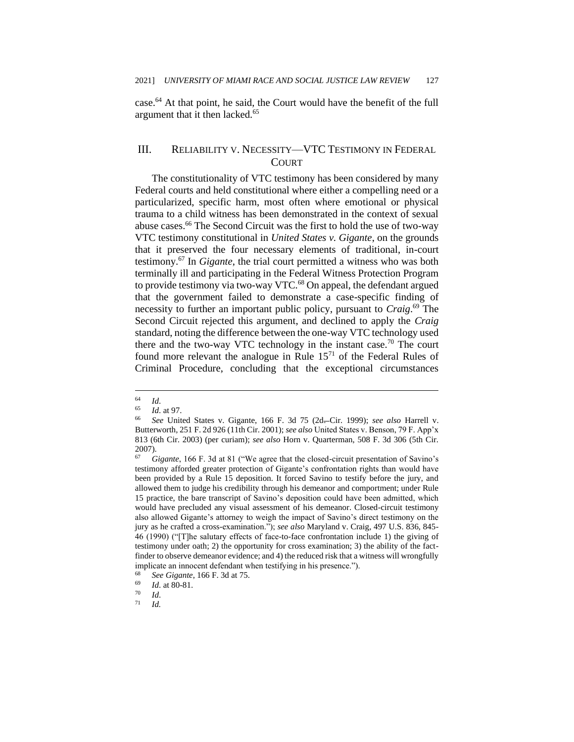case.<sup>64</sup> At that point, he said, the Court would have the benefit of the full argument that it then lacked.<sup>65</sup>

#### III. RELIABILITY V. NECESSITY—VTC TESTIMONY IN FEDERAL **COURT**

The constitutionality of VTC testimony has been considered by many Federal courts and held constitutional where either a compelling need or a particularized, specific harm, most often where emotional or physical trauma to a child witness has been demonstrated in the context of sexual abuse cases.<sup>66</sup> The Second Circuit was the first to hold the use of two-way VTC testimony constitutional in *United States v. Gigante*, on the grounds that it preserved the four necessary elements of traditional, in-court testimony.<sup>67</sup> In *Gigante*, the trial court permitted a witness who was both terminally ill and participating in the Federal Witness Protection Program to provide testimony via two-way VTC.<sup>68</sup> On appeal, the defendant argued that the government failed to demonstrate a case-specific finding of necessity to further an important public policy, pursuant to *Craig*. <sup>69</sup> The Second Circuit rejected this argument, and declined to apply the *Craig*  standard, noting the difference between the one-way VTC technology used there and the two-way VTC technology in the instant case.<sup>70</sup> The court found more relevant the analogue in Rule  $15<sup>71</sup>$  of the Federal Rules of Criminal Procedure, concluding that the exceptional circumstances

 $\begin{array}{cc} 64 & Id. \\ 65 & Id. \end{array}$ 

*Id.* at 97.

<sup>66</sup> *See* United States v. Gigante, 166 F. 3d 75 (2d. Cir. 1999); *see also* Harrell v. Butterworth*,* 251 F. 2d 926 (11th Cir. 2001); *see also* United States v. Benson, 79 F. App'x 813 (6th Cir. 2003) (per curiam); *see also* Horn v. Quarterman, 508 F. 3d 306 (5th Cir.  $^{2007)}_{67}$ .

<sup>67</sup> *Gigante*, 166 F. 3d at 81 ("We agree that the closed-circuit presentation of Savino's testimony afforded greater protection of Gigante's confrontation rights than would have been provided by a Rule 15 deposition. It forced Savino to testify before the jury, and allowed them to judge his credibility through his demeanor and comportment; under Rule 15 practice, the bare transcript of Savino's deposition could have been admitted, which would have precluded any visual assessment of his demeanor. Closed-circuit testimony also allowed Gigante's attorney to weigh the impact of Savino's direct testimony on the jury as he crafted a cross-examination."); *see also* Maryland v. Craig, 497 U.S. 836, 845- 46 (1990) ("[T]he salutary effects of face-to-face confrontation include 1) the giving of testimony under oath; 2) the opportunity for cross examination; 3) the ability of the factfinder to observe demeanor evidence; and 4) the reduced risk that a witness will wrongfully implicate an innocent defendant when testifying in his presence.").

<sup>68</sup> *See Gigante*, 166 F. 3d at 75.

 $\frac{69}{70}$  *Id.* at 80-81.

 $\frac{70}{71}$  *Id.* 

<sup>71</sup> *Id.*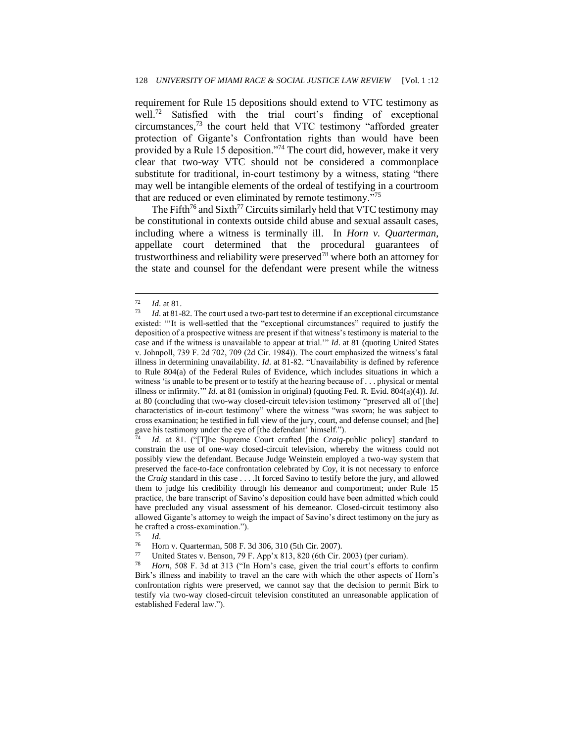requirement for Rule 15 depositions should extend to VTC testimony as well.<sup>72</sup> Satisfied with the trial court's finding of exceptional circumstances,<sup>73</sup> the court held that VTC testimony "afforded greater protection of Gigante's Confrontation rights than would have been provided by a Rule 15 deposition."<sup>74</sup> The court did, however, make it very clear that two-way VTC should not be considered a commonplace substitute for traditional, in-court testimony by a witness, stating "there may well be intangible elements of the ordeal of testifying in a courtroom that are reduced or even eliminated by remote testimony."<sup>75</sup>

The Fifth<sup>76</sup> and Sixth<sup>77</sup> Circuits similarly held that VTC testimony may be constitutional in contexts outside child abuse and sexual assault cases, including where a witness is terminally ill. In *Horn v. Quarterman*, appellate court determined that the procedural guarantees of trustworthiness and reliability were preserved<sup>78</sup> where both an attorney for the state and counsel for the defendant were present while the witness

*Id.* at 81. ("[T]he Supreme Court crafted [the *Craig*-public policy] standard to constrain the use of one-way closed-circuit television, whereby the witness could not possibly view the defendant. Because Judge Weinstein employed a two-way system that preserved the face-to-face confrontation celebrated by *Coy*, it is not necessary to enforce the *Craig* standard in this case . . . .It forced Savino to testify before the jury, and allowed them to judge his credibility through his demeanor and comportment; under Rule 15 practice, the bare transcript of Savino's deposition could have been admitted which could have precluded any visual assessment of his demeanor. Closed-circuit testimony also allowed Gigante's attorney to weigh the impact of Savino's direct testimony on the jury as he crafted a cross-examination.").

Horn, 508 F. 3d at 313 ("In Horn's case, given the trial court's efforts to confirm Birk's illness and inability to travel an the care with which the other aspects of Horn's confrontation rights were preserved, we cannot say that the decision to permit Birk to testify via two-way closed-circuit television constituted an unreasonable application of established Federal law.").

 $\frac{72}{73}$  *Id.* at 81.

*Id.* at 81-82. The court used a two-part test to determine if an exceptional circumstance existed: "'It is well-settled that the "exceptional circumstances" required to justify the deposition of a prospective witness are present if that witness's testimony is material to the case and if the witness is unavailable to appear at trial.'" *Id*. at 81 (quoting United States v. Johnpoll, 739 F. 2d 702, 709 (2d Cir. 1984)). The court emphasized the witness's fatal illness in determining unavailability. *Id*. at 81-82. "Unavailability is defined by reference to Rule 804(a) of the Federal Rules of Evidence, which includes situations in which a witness 'is unable to be present or to testify at the hearing because of . . . physical or mental illness or infirmity.'" *Id*. at 81 (omission in original) (quoting Fed. R. Evid. 804(a)(4)). *Id*. at 80 (concluding that two-way closed-circuit television testimony "preserved all of [the] characteristics of in-court testimony" where the witness "was sworn; he was subject to cross examination; he testified in full view of the jury, court, and defense counsel; and [he] gave his testimony under the eye of [the defendant' himself.").

 $\frac{75}{76}$  *Id.* 

<sup>76</sup> Horn v. Quarterman, 508 F. 3d 306, 310 (5th Cir. 2007).<br>
T. United States v. Bonson, 70 F. App'x 813, 820 (6th Cir.

<sup>77</sup> United States v. Benson, 79 F. App'x 813, 820 (6th Cir. 2003) (per curiam).<br><sup>78</sup> Harve 508 F. 3d at 313 ("In Harp's case, given the trial court's efforts to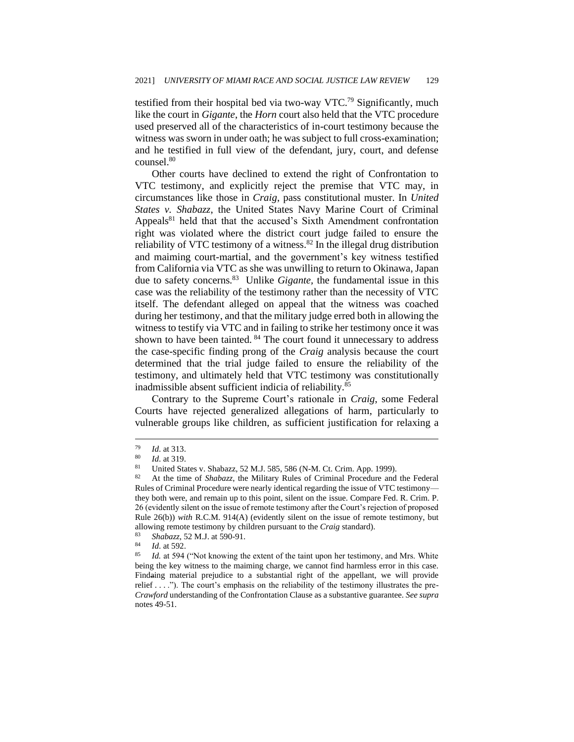testified from their hospital bed via two-way VTC.<sup>79</sup> Significantly, much like the court in *Gigante*, the *Horn* court also held that the VTC procedure used preserved all of the characteristics of in-court testimony because the witness was sworn in under oath; he was subject to full cross-examination; and he testified in full view of the defendant, jury, court, and defense counsel.<sup>80</sup>

Other courts have declined to extend the right of Confrontation to VTC testimony, and explicitly reject the premise that VTC may, in circumstances like those in *Craig*, pass constitutional muster. In *United States v. Shabazz*, the United States Navy Marine Court of Criminal Appeals<sup>81</sup> held that that the accused's Sixth Amendment confrontation right was violated where the district court judge failed to ensure the reliability of VTC testimony of a witness. $82$  In the illegal drug distribution and maiming court-martial, and the government's key witness testified from California via VTC as she was unwilling to return to Okinawa, Japan due to safety concerns.<sup>83</sup> Unlike *Gigante*, the fundamental issue in this case was the reliability of the testimony rather than the necessity of VTC itself. The defendant alleged on appeal that the witness was coached during her testimony, and that the military judge erred both in allowing the witness to testify via VTC and in failing to strike her testimony once it was shown to have been tainted. <sup>84</sup> The court found it unnecessary to address the case-specific finding prong of the *Craig* analysis because the court determined that the trial judge failed to ensure the reliability of the testimony, and ultimately held that VTC testimony was constitutionally inadmissible absent sufficient indicia of reliability.<sup>85</sup>

Contrary to the Supreme Court's rationale in *Craig*, some Federal Courts have rejected generalized allegations of harm, particularly to vulnerable groups like children, as sufficient justification for relaxing a

 $\frac{79}{80}$  *Id.* at 313.

 $\frac{80}{81}$  *Id.* at 319.

<sup>&</sup>lt;sup>81</sup> United States v. Shabazz, 52 M.J. 585, 586 (N-M. Ct. Crim. App. 1999).<br><sup>82</sup> At the time of *Shabazz*, the Military Pulse of Criminal Procedure and

<sup>82</sup> At the time of *Shabazz*, the Military Rules of Criminal Procedure and the Federal Rules of Criminal Procedure were nearly identical regarding the issue of VTC testimony they both were, and remain up to this point, silent on the issue. Compare Fed. R. Crim. P. 26 (evidently silent on the issue of remote testimony after the Court's rejection of proposed Rule 26(b)) *with* R.C.M. 914(A) (evidently silent on the issue of remote testimony, but allowing remote testimony by children pursuant to the *Craig* standard).

<sup>83</sup> *Shabazz*, 52 M.J. at 590-91.

 $\frac{84}{85}$  *Id.* at 592.

Id. at 594 ("Not knowing the extent of the taint upon her testimony, and Mrs. White being the key witness to the maiming charge, we cannot find harmless error in this case. Findaing material prejudice to a substantial right of the appellant, we will provide relief . . . ."). The court's emphasis on the reliability of the testimony illustrates the pre-*Crawford* understanding of the Confrontation Clause as a substantive guarantee. *See supra*  notes 49-51.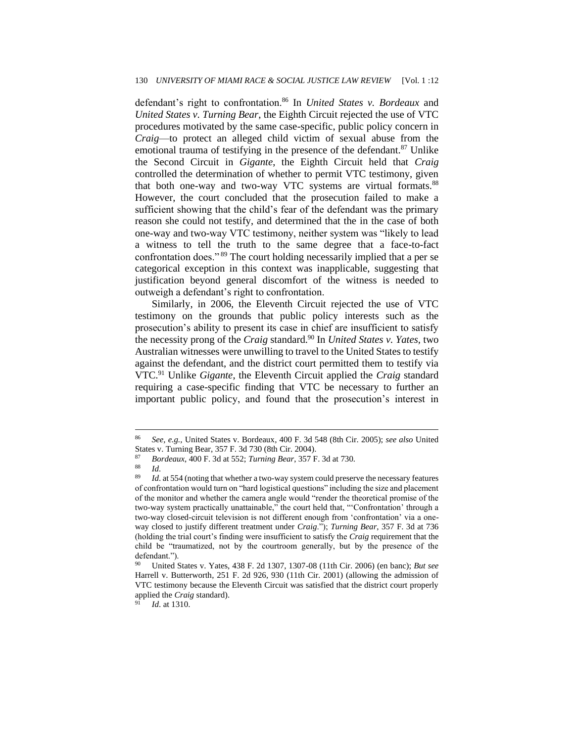defendant's right to confrontation.<sup>86</sup> In *United States v. Bordeaux* and *United States v. Turning Bear*, the Eighth Circuit rejected the use of VTC procedures motivated by the same case-specific, public policy concern in *Craig*—to protect an alleged child victim of sexual abuse from the emotional trauma of testifying in the presence of the defendant.<sup>87</sup> Unlike the Second Circuit in *Gigante*, the Eighth Circuit held that *Craig*  controlled the determination of whether to permit VTC testimony, given that both one-way and two-way VTC systems are virtual formats.<sup>88</sup> However, the court concluded that the prosecution failed to make a sufficient showing that the child's fear of the defendant was the primary reason she could not testify, and determined that the in the case of both one-way and two-way VTC testimony, neither system was "likely to lead a witness to tell the truth to the same degree that a face-to-fact confrontation does." <sup>89</sup> The court holding necessarily implied that a per se categorical exception in this context was inapplicable, suggesting that justification beyond general discomfort of the witness is needed to outweigh a defendant's right to confrontation.

Similarly, in 2006, the Eleventh Circuit rejected the use of VTC testimony on the grounds that public policy interests such as the prosecution's ability to present its case in chief are insufficient to satisfy the necessity prong of the *Craig* standard.<sup>90</sup> In *United States v. Yates,* two Australian witnesses were unwilling to travel to the United States to testify against the defendant, and the district court permitted them to testify via VTC.<sup>91</sup> Unlike *Gigante*, the Eleventh Circuit applied the *Craig* standard requiring a case-specific finding that VTC be necessary to further an important public policy, and found that the prosecution's interest in

<sup>86</sup> *See, e.g.,* United States v. Bordeaux*,* 400 F. 3d 548 (8th Cir. 2005); *see also* United States v. Turning Bear, 357 F. 3d 730 (8th Cir. 2004).<br><sup>87</sup> Pardacux, 400 F. 3d at 552; Turning Bear, 357 F.

<sup>87</sup> *Bordeaux*, 400 F. 3d at 552; *Turning Bear*, 357 F. 3d at 730.

 $rac{88}{89}$  *Id.* 

Id. at 554 (noting that whether a two-way system could preserve the necessary features of confrontation would turn on "hard logistical questions" including the size and placement of the monitor and whether the camera angle would "render the theoretical promise of the two-way system practically unattainable," the court held that, "'Confrontation' through a two-way closed-circuit television is not different enough from 'confrontation' via a oneway closed to justify different treatment under *Craig*."); *Turning Bear*, 357 F. 3d at 736 (holding the trial court's finding were insufficient to satisfy the *Craig* requirement that the child be "traumatized, not by the courtroom generally, but by the presence of the defendant.").

<sup>90</sup> United States v. Yates, 438 F. 2d 1307, 1307-08 (11th Cir. 2006) (en banc); *But see*  Harrell v. Butterworth, 251 F. 2d 926, 930 (11th Cir. 2001) (allowing the admission of VTC testimony because the Eleventh Circuit was satisfied that the district court properly applied the *Craig* standard).

*Id.* at 1310.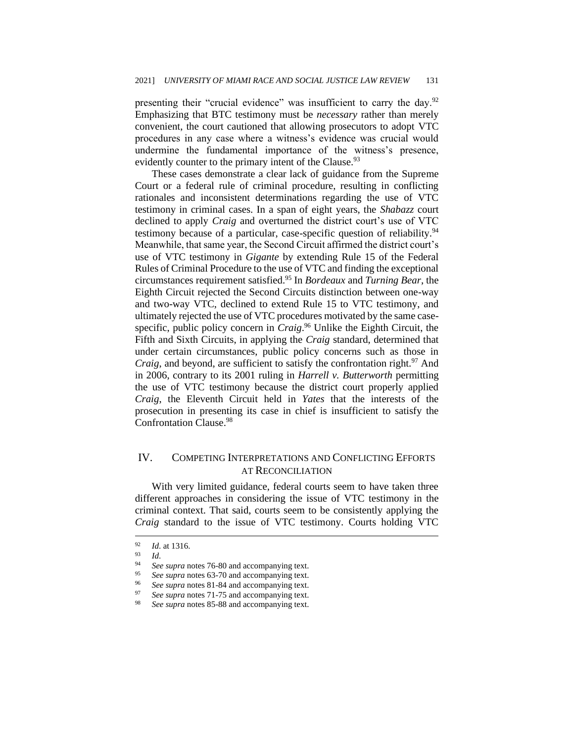presenting their "crucial evidence" was insufficient to carry the day.<sup>92</sup> Emphasizing that BTC testimony must be *necessary* rather than merely convenient, the court cautioned that allowing prosecutors to adopt VTC procedures in any case where a witness's evidence was crucial would undermine the fundamental importance of the witness's presence, evidently counter to the primary intent of the Clause.<sup>93</sup>

These cases demonstrate a clear lack of guidance from the Supreme Court or a federal rule of criminal procedure, resulting in conflicting rationales and inconsistent determinations regarding the use of VTC testimony in criminal cases. In a span of eight years, the *Shabazz* court declined to apply *Craig* and overturned the district court's use of VTC testimony because of a particular, case-specific question of reliability.<sup>94</sup> Meanwhile, that same year, the Second Circuit affirmed the district court's use of VTC testimony in *Gigante* by extending Rule 15 of the Federal Rules of Criminal Procedure to the use of VTC and finding the exceptional circumstances requirement satisfied.<sup>95</sup> In *Bordeaux* and *Turning Bear*, the Eighth Circuit rejected the Second Circuits distinction between one-way and two-way VTC, declined to extend Rule 15 to VTC testimony, and ultimately rejected the use of VTC procedures motivated by the same casespecific, public policy concern in *Craig*. <sup>96</sup> Unlike the Eighth Circuit, the Fifth and Sixth Circuits, in applying the *Craig* standard, determined that under certain circumstances, public policy concerns such as those in *Craig*, and beyond, are sufficient to satisfy the confrontation right.<sup>97</sup> And in 2006, contrary to its 2001 ruling in *Harrell v. Butterworth* permitting the use of VTC testimony because the district court properly applied *Craig*, the Eleventh Circuit held in *Yates* that the interests of the prosecution in presenting its case in chief is insufficient to satisfy the Confrontation Clause.<sup>98</sup>

### IV. COMPETING INTERPRETATIONS AND CONFLICTING EFFORTS AT RECONCILIATION

With very limited guidance, federal courts seem to have taken three different approaches in considering the issue of VTC testimony in the criminal context. That said, courts seem to be consistently applying the *Craig* standard to the issue of VTC testimony. Courts holding VTC

See supra notes 81-84 and accompanying text.

 $\frac{92}{93}$  *Id.* at 1316.

 $\frac{93}{94}$  *Id.* 

<sup>&</sup>lt;sup>94</sup> *See supra* notes 76-80 and accompanying text.<br><sup>95</sup> See supra potes 63-70 and accompanying text.

See supra notes 63-70 and accompanying text.

<sup>&</sup>lt;sup>97</sup> *See supra* notes 71-75 and accompanying text.

See supra notes 85-88 and accompanying text.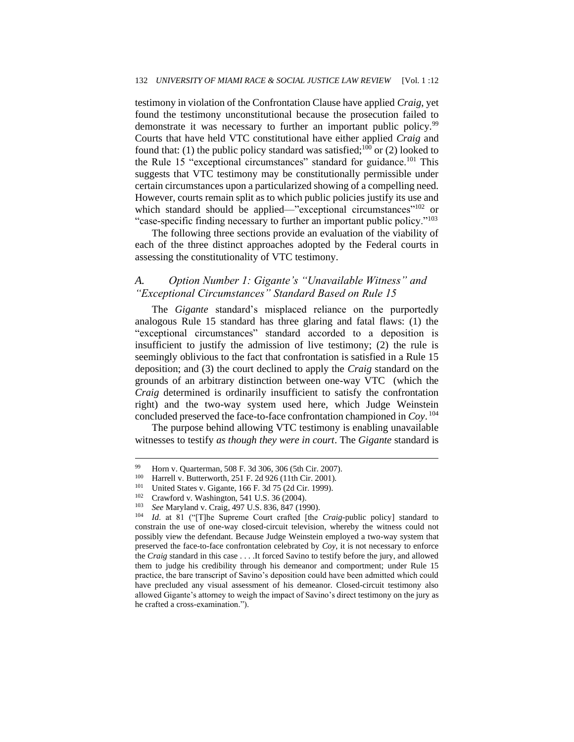testimony in violation of the Confrontation Clause have applied *Craig*, yet found the testimony unconstitutional because the prosecution failed to demonstrate it was necessary to further an important public policy.<sup>99</sup> Courts that have held VTC constitutional have either applied *Craig* and found that: (1) the public policy standard was satisfied;<sup>100</sup> or (2) looked to the Rule 15 "exceptional circumstances" standard for guidance.<sup>101</sup> This suggests that VTC testimony may be constitutionally permissible under certain circumstances upon a particularized showing of a compelling need. However, courts remain split as to which public policies justify its use and which standard should be applied—"exceptional circumstances"<sup>102</sup> or "case-specific finding necessary to further an important public policy."<sup>103</sup>

The following three sections provide an evaluation of the viability of each of the three distinct approaches adopted by the Federal courts in assessing the constitutionality of VTC testimony.

# *A. Option Number 1: Gigante's "Unavailable Witness" and "Exceptional Circumstances" Standard Based on Rule 15*

The *Gigante* standard's misplaced reliance on the purportedly analogous Rule 15 standard has three glaring and fatal flaws: (1) the "exceptional circumstances" standard accorded to a deposition is insufficient to justify the admission of live testimony; (2) the rule is seemingly oblivious to the fact that confrontation is satisfied in a Rule 15 deposition; and (3) the court declined to apply the *Craig* standard on the grounds of an arbitrary distinction between one-way VTC (which the *Craig* determined is ordinarily insufficient to satisfy the confrontation right) and the two-way system used here, which Judge Weinstein concluded preserved the face-to-face confrontation championed in *Coy*. 104

The purpose behind allowing VTC testimony is enabling unavailable witnesses to testify *as though they were in court*. The *Gigante* standard is

<sup>99</sup> Horn v. Quarterman, 508 F. 3d 306, 306 (5th Cir. 2007).<br> $^{100}$  Harrell v. Butterworth, 251 E. 2d 926 (11th Cir. 2001).

Harrell v. Butterworth, 251 F. 2d 926 (11th Cir. 2001).

<sup>&</sup>lt;sup>101</sup> United States v. Gigante, 166 F. 3d 75 (2d Cir. 1999).<br><sup>102</sup> Crowford v. Washington, 541 U.S. 26 (2004).

Crawford v. Washington, 541 U.S. 36 (2004).

<sup>103</sup> *See* Maryland v. Craig, 497 U.S. 836, 847 (1990).

<sup>104</sup> *Id*. at 81 ("[T]he Supreme Court crafted [the *Craig*-public policy] standard to constrain the use of one-way closed-circuit television, whereby the witness could not possibly view the defendant. Because Judge Weinstein employed a two-way system that preserved the face-to-face confrontation celebrated by *Coy*, it is not necessary to enforce the *Craig* standard in this case . . . .It forced Savino to testify before the jury, and allowed them to judge his credibility through his demeanor and comportment; under Rule 15 practice, the bare transcript of Savino's deposition could have been admitted which could have precluded any visual assessment of his demeanor. Closed-circuit testimony also allowed Gigante's attorney to weigh the impact of Savino's direct testimony on the jury as he crafted a cross-examination.").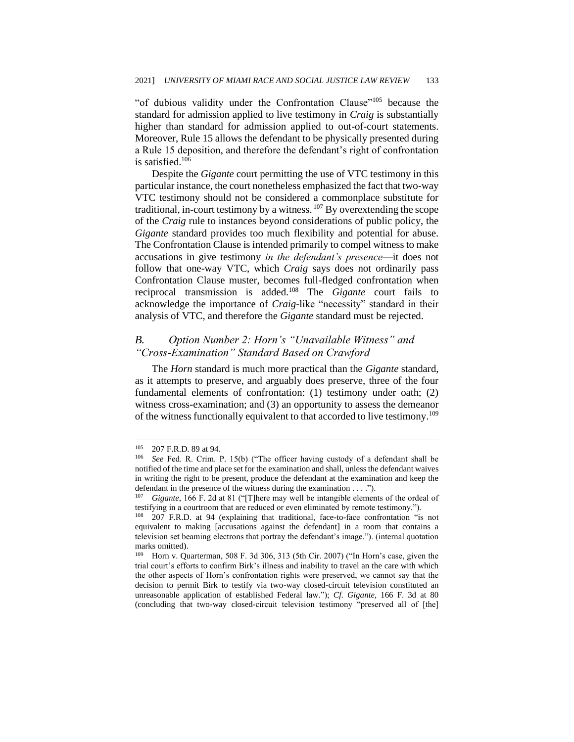"of dubious validity under the Confrontation Clause"<sup>105</sup> because the standard for admission applied to live testimony in *Craig* is substantially higher than standard for admission applied to out-of-court statements. Moreover, Rule 15 allows the defendant to be physically presented during a Rule 15 deposition, and therefore the defendant's right of confrontation is satisfied.<sup>106</sup>

Despite the *Gigante* court permitting the use of VTC testimony in this particular instance, the court nonetheless emphasized the fact that two-way VTC testimony should not be considered a commonplace substitute for traditional, in-court testimony by a witness.  $107$  By overextending the scope of the *Craig* rule to instances beyond considerations of public policy, the *Gigante* standard provides too much flexibility and potential for abuse. The Confrontation Clause is intended primarily to compel witness to make accusations in give testimony *in the defendant's presence*—it does not follow that one-way VTC, which *Craig* says does not ordinarily pass Confrontation Clause muster, becomes full-fledged confrontation when reciprocal transmission is added.<sup>108</sup> The *Gigante* court fails to acknowledge the importance of *Craig*-like "necessity" standard in their analysis of VTC, and therefore the *Gigante* standard must be rejected.

## *B. Option Number 2: Horn's "Unavailable Witness" and "Cross-Examination" Standard Based on Crawford*

The *Horn* standard is much more practical than the *Gigante* standard, as it attempts to preserve, and arguably does preserve, three of the four fundamental elements of confrontation: (1) testimony under oath; (2) witness cross-examination; and (3) an opportunity to assess the demeanor of the witness functionally equivalent to that accorded to live testimony.<sup>109</sup>

 $^{105}$  207 F.R.D. 89 at 94.<br> $^{106}$  See Fed. R. Crim.

See Fed. R. Crim. P. 15(b) ("The officer having custody of a defendant shall be notified of the time and place set for the examination and shall, unless the defendant waives in writing the right to be present, produce the defendant at the examination and keep the defendant in the presence of the witness during the examination . . . .").

<sup>107</sup> *Gigante*, 166 F. 2d at 81 ("[T]here may well be intangible elements of the ordeal of testifying in a courtroom that are reduced or even eliminated by remote testimony.").

<sup>108</sup> 207 F.R.D. at 94 (explaining that traditional, face-to-face confrontation "is not equivalent to making [accusations against the defendant] in a room that contains a television set beaming electrons that portray the defendant's image."). (internal quotation marks omitted).

<sup>109</sup> Horn v. Quarterman, 508 F. 3d 306, 313 (5th Cir. 2007) ("In Horn's case, given the trial court's efforts to confirm Birk's illness and inability to travel an the care with which the other aspects of Horn's confrontation rights were preserved, we cannot say that the decision to permit Birk to testify via two-way closed-circuit television constituted an unreasonable application of established Federal law."); *Cf. Gigante*, 166 F. 3d at 80 (concluding that two-way closed-circuit television testimony "preserved all of [the]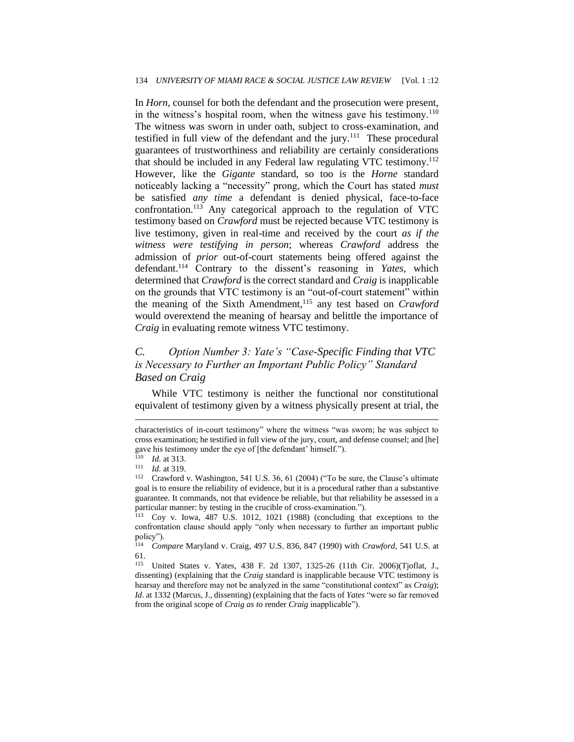In *Horn*, counsel for both the defendant and the prosecution were present, in the witness's hospital room, when the witness gave his testimony.<sup>110</sup> The witness was sworn in under oath, subject to cross-examination, and testified in full view of the defendant and the jury.<sup>111</sup> These procedural guarantees of trustworthiness and reliability are certainly considerations that should be included in any Federal law regulating VTC testimony.<sup>112</sup> However, like the *Gigante* standard, so too is the *Horne* standard noticeably lacking a "necessity" prong, which the Court has stated *must*  be satisfied *any time* a defendant is denied physical, face-to-face confrontation.<sup>113</sup> Any categorical approach to the regulation of VTC testimony based on *Crawford* must be rejected because VTC testimony is live testimony, given in real-time and received by the court *as if the witness were testifying in person*; whereas *Crawford* address the admission of *prior* out-of-court statements being offered against the defendant.<sup>114</sup> Contrary to the dissent's reasoning in *Yates*, which determined that *Crawford* is the correct standard and *Craig* is inapplicable on the grounds that VTC testimony is an "out-of-court statement" within the meaning of the Sixth Amendment,<sup>115</sup> any test based on *Crawford* would overextend the meaning of hearsay and belittle the importance of *Craig* in evaluating remote witness VTC testimony.

# *C. Option Number 3: Yate's "Case-Specific Finding that VTC is Necessary to Further an Important Public Policy" Standard Based on Craig*

While VTC testimony is neither the functional nor constitutional equivalent of testimony given by a witness physically present at trial, the

characteristics of in-court testimony" where the witness "was sworn; he was subject to cross examination; he testified in full view of the jury, court, and defense counsel; and [he] gave his testimony under the eye of [the defendant' himself.").

<sup>110</sup> *Id*. at 313.

 $111$  *Id.* at 319.

Crawford v. Washington, 541 U.S. 36, 61 (2004) ("To be sure, the Clause's ultimate goal is to ensure the reliability of evidence, but it is a procedural rather than a substantive guarantee. It commands, not that evidence be reliable, but that reliability be assessed in a particular manner: by testing in the crucible of cross-examination.").

<sup>113</sup> Coy v. Iowa*,* 487 U.S. 1012, 1021 (1988) (concluding that exceptions to the confrontation clause should apply "only when necessary to further an important public policy").<br> $\frac{114}{C_{\Omega R}}$ 

<sup>114</sup> *Compare* Maryland v. Craig, 497 U.S. 836, 847 (1990) with *Crawford*, 541 U.S. at  $61.115$ 

United States v. Yates, 438 F. 2d 1307, 1325-26 (11th Cir. 2006)(Tjoflat, J., dissenting) (explaining that the *Craig* standard is inapplicable because VTC testimony is hearsay and therefore may not be analyzed in the same "constitutional context" as *Craig*); *Id*. at 1332 (Marcus, J., dissenting) (explaining that the facts of *Yates* "were so far removed from the original scope of *Craig as to* render *Craig* inapplicable").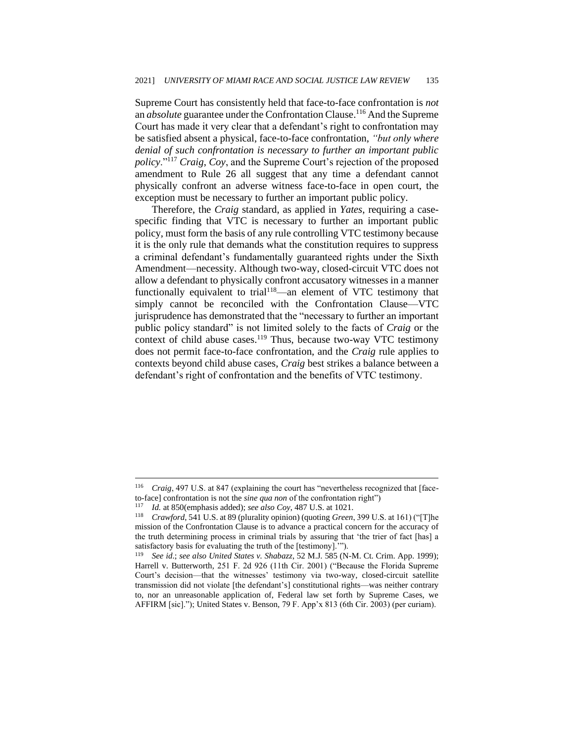Supreme Court has consistently held that face-to-face confrontation is *not*  an *absolute* guarantee under the Confrontation Clause.<sup>116</sup> And the Supreme Court has made it very clear that a defendant's right to confrontation may be satisfied absent a physical, face-to-face confrontation, *"but only where denial of such confrontation is necessary to further an important public policy*."<sup>117</sup> *Craig*, *Coy*, and the Supreme Court's rejection of the proposed amendment to Rule 26 all suggest that any time a defendant cannot physically confront an adverse witness face-to-face in open court, the exception must be necessary to further an important public policy.

Therefore, the *Craig* standard, as applied in *Yates*, requiring a casespecific finding that VTC is necessary to further an important public policy, must form the basis of any rule controlling VTC testimony because it is the only rule that demands what the constitution requires to suppress a criminal defendant's fundamentally guaranteed rights under the Sixth Amendment—necessity. Although two-way, closed-circuit VTC does not allow a defendant to physically confront accusatory witnesses in a manner functionally equivalent to trial<sup>118</sup>—an element of VTC testimony that simply cannot be reconciled with the Confrontation Clause—VTC jurisprudence has demonstrated that the "necessary to further an important public policy standard" is not limited solely to the facts of *Craig* or the context of child abuse cases.<sup>119</sup> Thus, because two-way VTC testimony does not permit face-to-face confrontation, and the *Craig* rule applies to contexts beyond child abuse cases, *Craig* best strikes a balance between a defendant's right of confrontation and the benefits of VTC testimony.

<sup>116</sup> *Craig*, 497 U.S. at 847 (explaining the court has "nevertheless recognized that [faceto-face] confrontation is not the *sine qua non* of the confrontation right")

<sup>117</sup> *Id.* at 850(emphasis added); *see also Coy*, 487 U.S. at 1021.

<sup>118</sup> *Crawford*, 541 U.S. at 89 (plurality opinion) (quoting *Green*, 399 U.S. at 161) ("[T]he mission of the Confrontation Clause is to advance a practical concern for the accuracy of the truth determining process in criminal trials by assuring that 'the trier of fact [has] a satisfactory basis for evaluating the truth of the [testimony].'").

<sup>119</sup> *See id*.; *see also United States v. Shabazz*, 52 M.J. 585 (N-M. Ct. Crim. App. 1999); Harrell v. Butterworth*,* 251 F. 2d 926 (11th Cir. 2001) ("Because the Florida Supreme Court's decision—that the witnesses' testimony via two-way, closed-circuit satellite transmission did not violate [the defendant's] constitutional rights—was neither contrary to, nor an unreasonable application of, Federal law set forth by Supreme Cases, we AFFIRM [sic]."); United States v. Benson*,* 79 F. App'x 813 (6th Cir. 2003) (per curiam).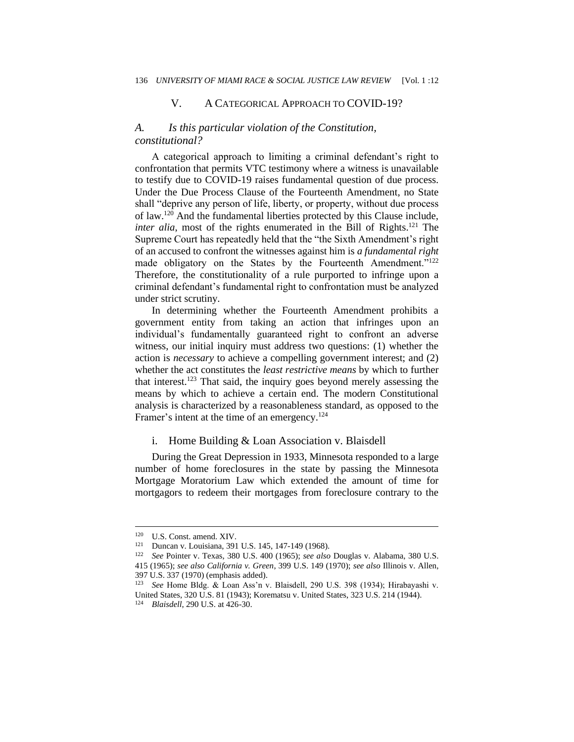#### V. A CATEGORICAL APPROACH TO COVID-19?

#### *A. Is this particular violation of the Constitution, constitutional?*

A categorical approach to limiting a criminal defendant's right to confrontation that permits VTC testimony where a witness is unavailable to testify due to COVID-19 raises fundamental question of due process. Under the Due Process Clause of the Fourteenth Amendment, no State shall "deprive any person of life, liberty, or property, without due process of law.<sup>120</sup> And the fundamental liberties protected by this Clause include, *inter alia*, most of the rights enumerated in the Bill of Rights.<sup>121</sup> The Supreme Court has repeatedly held that the "the Sixth Amendment's right of an accused to confront the witnesses against him is *a fundamental right* made obligatory on the States by the Fourteenth Amendment."<sup>122</sup> Therefore, the constitutionality of a rule purported to infringe upon a criminal defendant's fundamental right to confrontation must be analyzed under strict scrutiny.

In determining whether the Fourteenth Amendment prohibits a government entity from taking an action that infringes upon an individual's fundamentally guaranteed right to confront an adverse witness, our initial inquiry must address two questions: (1) whether the action is *necessary* to achieve a compelling government interest; and (2) whether the act constitutes the *least restrictive means* by which to further that interest.<sup>123</sup> That said, the inquiry goes beyond merely assessing the means by which to achieve a certain end. The modern Constitutional analysis is characterized by a reasonableness standard, as opposed to the Framer's intent at the time of an emergency.<sup>124</sup>

#### i. Home Building & Loan Association v. Blaisdell

During the Great Depression in 1933, Minnesota responded to a large number of home foreclosures in the state by passing the Minnesota Mortgage Moratorium Law which extended the amount of time for mortgagors to redeem their mortgages from foreclosure contrary to the

<sup>&</sup>lt;sup>120</sup> U.S. Const. amend. XIV.<br><sup>121</sup> Duncan v Louisiana 391

<sup>&</sup>lt;sup>121</sup> Duncan v. Louisiana, 391 U.S. 145, 147-149 (1968).<br><sup>122</sup> See Pointer v. Taxas, <sup>380</sup> U.S. 400 (1965): see also

<sup>122</sup> *See* Pointer v. Texas, 380 U.S. 400 (1965); *see also* Douglas v. Alabama, 380 U.S. 415 (1965); *see also California v. Green*, 399 U.S. 149 (1970); *see also* Illinois v. Allen, 397 U.S. 337 (1970) (emphasis added).

<sup>123</sup> *See* Home Bldg. & Loan Ass'n v. Blaisdell, 290 U.S. 398 (1934); Hirabayashi v. United States, 320 U.S. 81 (1943); Korematsu v. United States, 323 U.S. 214 (1944).

<sup>124</sup> *Blaisdell*, 290 U.S. at 426-30.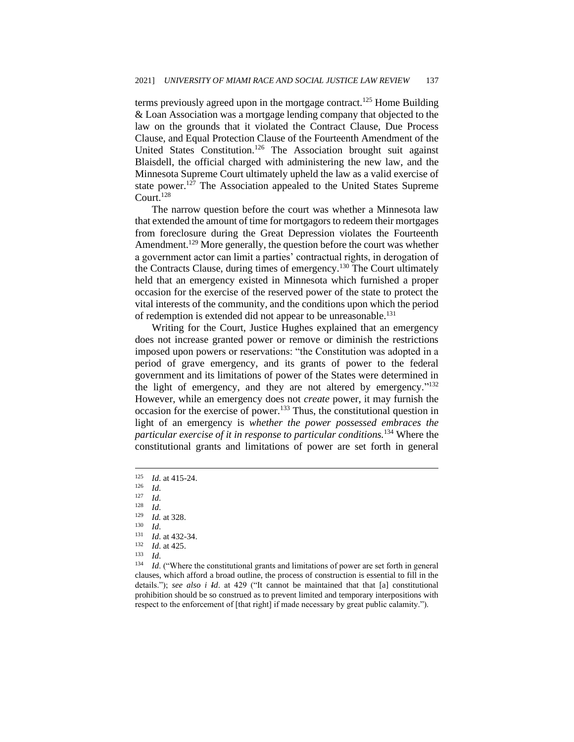terms previously agreed upon in the mortgage contract.<sup>125</sup> Home Building & Loan Association was a mortgage lending company that objected to the law on the grounds that it violated the Contract Clause, Due Process Clause, and Equal Protection Clause of the Fourteenth Amendment of the United States Constitution.<sup>126</sup> The Association brought suit against Blaisdell, the official charged with administering the new law, and the Minnesota Supreme Court ultimately upheld the law as a valid exercise of state power.<sup>127</sup> The Association appealed to the United States Supreme Court.<sup>128</sup>

The narrow question before the court was whether a Minnesota law that extended the amount of time for mortgagors to redeem their mortgages from foreclosure during the Great Depression violates the Fourteenth Amendment.<sup>129</sup> More generally, the question before the court was whether a government actor can limit a parties' contractual rights, in derogation of the Contracts Clause, during times of emergency.<sup>130</sup> The Court ultimately held that an emergency existed in Minnesota which furnished a proper occasion for the exercise of the reserved power of the state to protect the vital interests of the community, and the conditions upon which the period of redemption is extended did not appear to be unreasonable.<sup>131</sup>

Writing for the Court, Justice Hughes explained that an emergency does not increase granted power or remove or diminish the restrictions imposed upon powers or reservations: "the Constitution was adopted in a period of grave emergency, and its grants of power to the federal government and its limitations of power of the States were determined in the light of emergency, and they are not altered by emergency."<sup>132</sup> However, while an emergency does not *create* power, it may furnish the occasion for the exercise of power.<sup>133</sup> Thus, the constitutional question in light of an emergency is *whether the power possessed embraces the particular exercise of it in response to particular conditions.*<sup>134</sup> Where the constitutional grants and limitations of power are set forth in general

 $\frac{125}{126}$  *Id.* at 415-24.

 $\frac{126}{127}$  *Id.* 

 $\frac{127}{128}$  *Id.* 

 $\frac{128}{129}$  *Id.* 

 $\frac{129}{130}$  *Id.* at 328.

 $\frac{130}{131}$  *Id.* 

 $131$  *Id.* at 432-34.

 $\frac{132}{133}$  *Id.* at 425.

 $\frac{133}{134}$  *Id.* 

Id. ("Where the constitutional grants and limitations of power are set forth in general clauses, which afford a broad outline, the process of construction is essential to fill in the details."); *see also i Id*. at 429 ("It cannot be maintained that that [a] constitutional prohibition should be so construed as to prevent limited and temporary interpositions with respect to the enforcement of [that right] if made necessary by great public calamity.").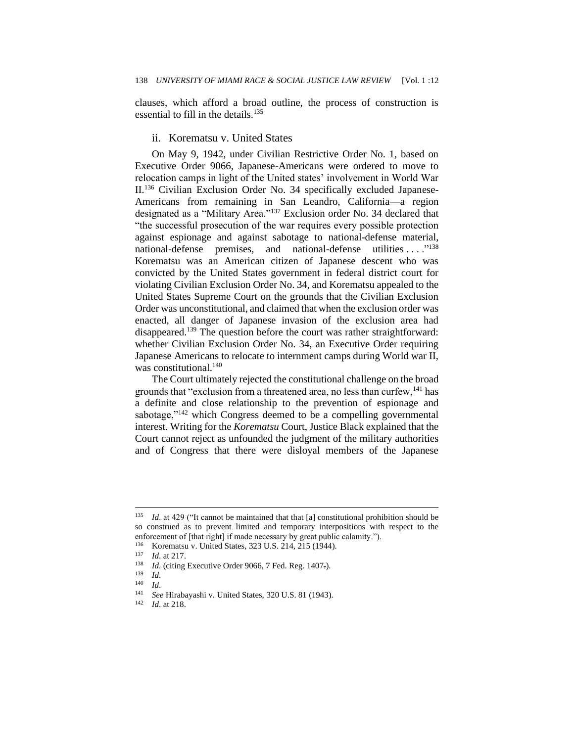clauses, which afford a broad outline, the process of construction is essential to fill in the details. $135$ 

#### ii. Korematsu v. United States

On May 9, 1942, under Civilian Restrictive Order No. 1, based on Executive Order 9066, Japanese-Americans were ordered to move to relocation camps in light of the United states' involvement in World War II.<sup>136</sup> Civilian Exclusion Order No. 34 specifically excluded Japanese-Americans from remaining in San Leandro, California—a region designated as a "Military Area."<sup>137</sup> Exclusion order No. 34 declared that "the successful prosecution of the war requires every possible protection against espionage and against sabotage to national-defense material, national-defense premises, and national-defense utilities ...."<sup>138</sup> Korematsu was an American citizen of Japanese descent who was convicted by the United States government in federal district court for violating Civilian Exclusion Order No. 34, and Korematsu appealed to the United States Supreme Court on the grounds that the Civilian Exclusion Order was unconstitutional, and claimed that when the exclusion order was enacted, all danger of Japanese invasion of the exclusion area had disappeared.<sup>139</sup> The question before the court was rather straightforward: whether Civilian Exclusion Order No. 34, an Executive Order requiring Japanese Americans to relocate to internment camps during World war II, was constitutional.<sup>140</sup>

The Court ultimately rejected the constitutional challenge on the broad grounds that "exclusion from a threatened area, no less than curfew, $^{141}$  has a definite and close relationship to the prevention of espionage and sabotage,"<sup>142</sup> which Congress deemed to be a compelling governmental interest. Writing for the *Korematsu* Court, Justice Black explained that the Court cannot reject as unfounded the judgment of the military authorities and of Congress that there were disloyal members of the Japanese

<sup>135</sup> *Id*. at 429 ("It cannot be maintained that that [a] constitutional prohibition should be so construed as to prevent limited and temporary interpositions with respect to the enforcement of [that right] if made necessary by great public calamity.").

 $^{136}$  Korematsu v. United States, 323 U.S. 214, 215 (1944).

<sup>137</sup> *Id.* at 217.

<sup>&</sup>lt;sup>138</sup> *Id.* (citing Executive Order 9066, 7 Fed. Reg. 1407-).

 $\frac{139}{140}$  *Id.* 

 $Id.$ 

<sup>141</sup> *See* Hirabayashi v. United States, 320 U.S. 81 (1943).

*Id.* at 218.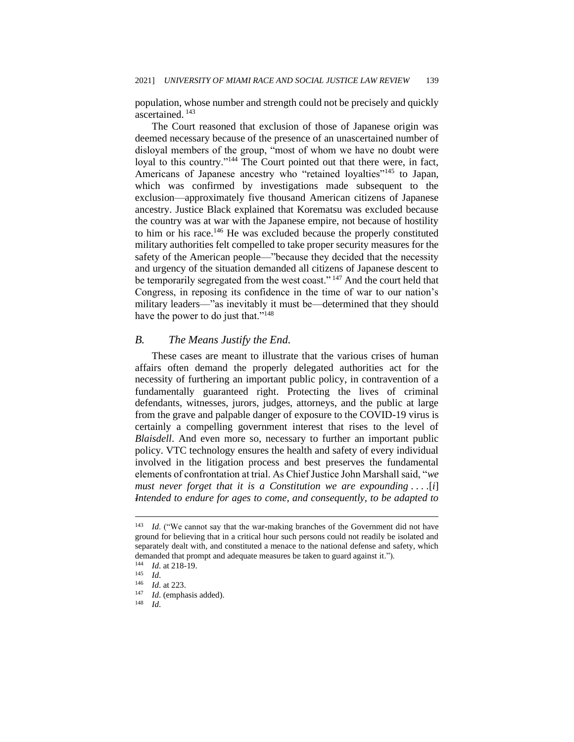population, whose number and strength could not be precisely and quickly ascertained. <sup>143</sup>

The Court reasoned that exclusion of those of Japanese origin was deemed necessary because of the presence of an unascertained number of disloyal members of the group, "most of whom we have no doubt were loyal to this country."<sup>144</sup> The Court pointed out that there were, in fact, Americans of Japanese ancestry who "retained loyalties"<sup>145</sup> to Japan, which was confirmed by investigations made subsequent to the exclusion—approximately five thousand American citizens of Japanese ancestry. Justice Black explained that Korematsu was excluded because the country was at war with the Japanese empire, not because of hostility to him or his race.<sup>146</sup> He was excluded because the properly constituted military authorities felt compelled to take proper security measures for the safety of the American people—"because they decided that the necessity and urgency of the situation demanded all citizens of Japanese descent to be temporarily segregated from the west coast."<sup>147</sup> And the court held that Congress, in reposing its confidence in the time of war to our nation's military leaders—"as inevitably it must be—determined that they should have the power to do just that."<sup>148</sup>

#### *B. The Means Justify the End.*

These cases are meant to illustrate that the various crises of human affairs often demand the properly delegated authorities act for the necessity of furthering an important public policy, in contravention of a fundamentally guaranteed right. Protecting the lives of criminal defendants, witnesses, jurors, judges, attorneys, and the public at large from the grave and palpable danger of exposure to the COVID-19 virus is certainly a compelling government interest that rises to the level of *Blaisdell*. And even more so, necessary to further an important public policy. VTC technology ensures the health and safety of every individual involved in the litigation process and best preserves the fundamental elements of confrontation at trial. As Chief Justice John Marshall said, "*we must never forget that it is a Constitution we are expounding . . . .*[*i*] *Intended to endure for ages to come, and consequently, to be adapted to* 

<sup>143</sup> *Id*. ("We cannot say that the war-making branches of the Government did not have ground for believing that in a critical hour such persons could not readily be isolated and separately dealt with, and constituted a menace to the national defense and safety, which demanded that prompt and adequate measures be taken to guard against it.").<br> $\frac{144}{14}$   $\frac{14}{18}$  at 218.19

 $\frac{144}{145}$  *Id.* at 218-19.

 $\frac{145}{146}$  *Id.* 

*Id.* at 223.

<sup>147</sup> *Id*. (emphasis added).

<sup>148</sup> *Id*.